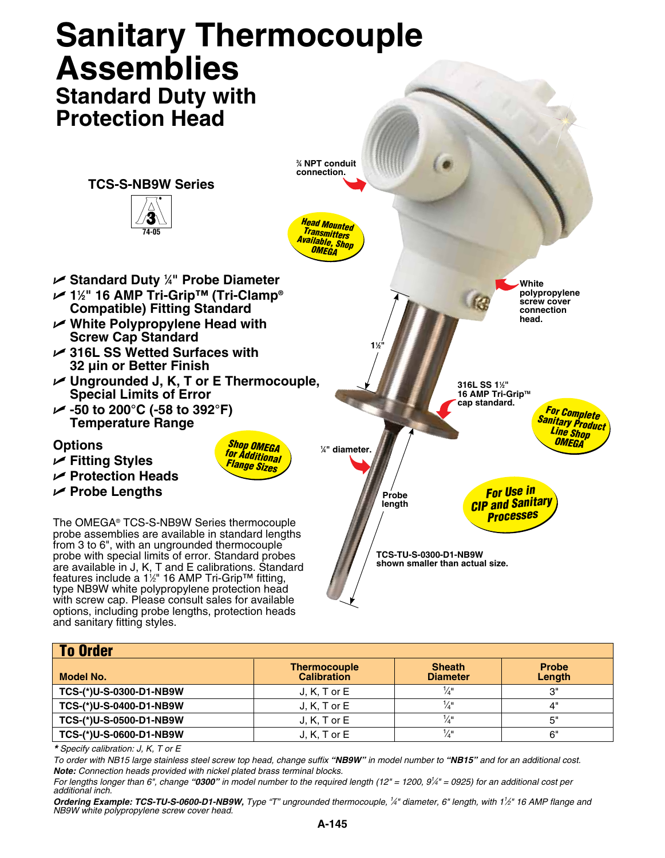

| <b>To Order</b>         |                                           |                                  |                        |
|-------------------------|-------------------------------------------|----------------------------------|------------------------|
| Model No.               | <b>Thermocouple</b><br><b>Calibration</b> | <b>Sheath</b><br><b>Diameter</b> | <b>Probe</b><br>Length |
| TCS-(*)U-S-0300-D1-NB9W | $J, K, T$ or $E$                          | ¼"                               | יימ                    |
| TCS-(*)U-S-0400-D1-NB9W | $J, K, T$ or $E$                          | ¼"                               | 4"                     |
| TCS-(*)U-S-0500-D1-NB9W | $J, K, T$ or $E$                          |                                  | 5"                     |
| TCS-(*)U-S-0600-D1-NB9W | $J, K, T$ or $E$                          | ¼"                               | 6"                     |

*\* Specify calibration: J, K, T or E*

and sanitary fitting styles.

options, including probe lengths, protection heads

*To order with NB15 large stainless steel screw top head, change suffix "NB9W" in model number to "NB15" and for an additional cost. Note: Connection heads provided with nickel plated brass terminal blocks.*

*For lengths longer than 6", change "0300" in model number to the required length (12" = 1200, 9<sup>1</sup>/4" = 0925) for an additional cost per additional inch.*

*Ordering Example: TCS-TU-S-0600-D1-NB9W, Type "T" ungrounded thermocouple, 1 ⁄4" diameter, 6" length, with 11 ⁄2" 16 AMP flange and NB9W white polypropylene screw cover head.*